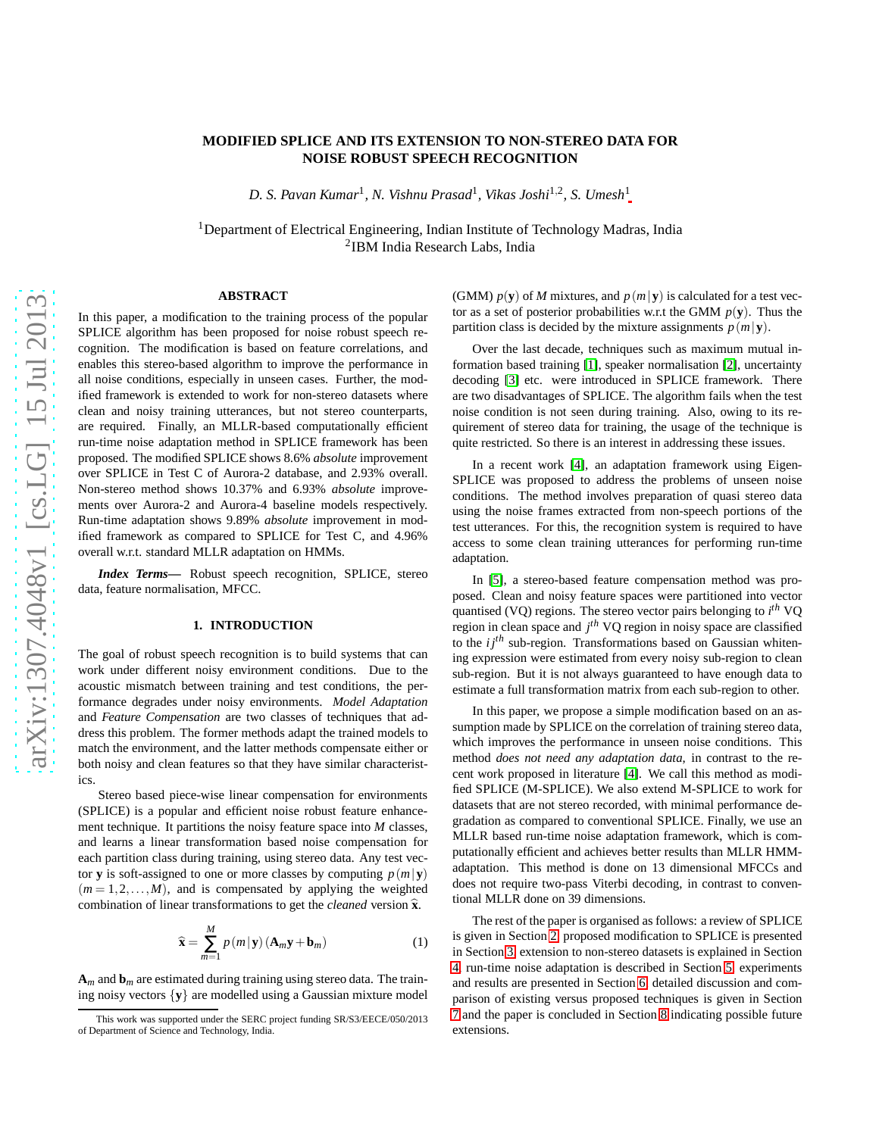# arXiv:1307.4048v1 [cs.LG] 15 Jul 2013 [arXiv:1307.4048v1 \[cs.LG\] 15 Jul 2013](http://arxiv.org/abs/1307.4048v1)

# **MODIFIED SPLICE AND ITS EXTENSION TO NON-STEREO DATA FOR NOISE ROBUST SPEECH RECOGNITION**

*D. S. Pavan Kumar*<sup>1</sup> *, N. Vishnu Prasad*<sup>1</sup> *, Vikas Joshi*1,<sup>2</sup> *, S. Umesh*<sup>1</sup>

<sup>1</sup>Department of Electrical Engineering, Indian Institute of Technology Madras, India 2 IBM India Research Labs, India

# **ABSTRACT**

In this paper, a modification to the training process of the popular SPLICE algorithm has been proposed for noise robust speech recognition. The modification is based on feature correlations, and enables this stereo-based algorithm to improve the performance in all noise conditions, especially in unseen cases. Further, the modified framework is extended to work for non-stereo datasets where clean and noisy training utterances, but not stereo counterparts, are required. Finally, an MLLR-based computationally efficient run-time noise adaptation method in SPLICE framework has been proposed. The modified SPLICE shows 8.6% *absolute* improvement over SPLICE in Test C of Aurora-2 database, and 2.93% overall. Non-stereo method shows 10.37% and 6.93% *absolute* improvements over Aurora-2 and Aurora-4 baseline models respectively. Run-time adaptation shows 9.89% *absolute* improvement in modified framework as compared to SPLICE for Test C, and 4.96% overall w.r.t. standard MLLR adaptation on HMMs.

*Index Terms***—** Robust speech recognition, SPLICE, stereo data, feature normalisation, MFCC.

# **1. INTRODUCTION**

The goal of robust speech recognition is to build systems that can work under different noisy environment conditions. Due to the acoustic mismatch between training and test conditions, the performance degrades under noisy environments. *Model Adaptation* and *Feature Compensation* are two classes of techniques that address this problem. The former methods adapt the trained models to match the environment, and the latter methods compensate either or both noisy and clean features so that they have similar characteristics.

Stereo based piece-wise linear compensation for environments (SPLICE) is a popular and efficient noise robust feature enhancement technique. It partitions the noisy feature space into *M* classes, and learns a linear transformation based noise compensation for each partition class during training, using stereo data. Any test vector **y** is soft-assigned to one or more classes by computing  $p(m|\mathbf{y})$  $(m = 1, 2, \dots, M)$ , and is compensated by applying the weighted combination of linear transformations to get the *cleaned* version  $\hat{\mathbf{x}}$ .

<span id="page-0-0"></span>
$$
\widehat{\mathbf{x}} = \sum_{m=1}^{M} p(m|\mathbf{y}) \left( \mathbf{A}_m \mathbf{y} + \mathbf{b}_m \right)
$$
 (1)

 $A_m$  and  $b_m$  are estimated during training using stereo data. The training noisy vectors {**y**} are modelled using a Gaussian mixture model (GMM)  $p(y)$  of *M* mixtures, and  $p(m|y)$  is calculated for a test vector as a set of posterior probabilities w.r.t the GMM  $p(y)$ . Thus the partition class is decided by the mixture assignments  $p(m|\mathbf{y})$ .

Over the last decade, techniques such as maximum mutual information based training [\[1\]](#page-5-0), speaker normalisation [\[2\]](#page-5-1), uncertainty decoding [\[3\]](#page-5-2) etc. were introduced in SPLICE framework. There are two disadvantages of SPLICE. The algorithm fails when the test noise condition is not seen during training. Also, owing to its requirement of stereo data for training, the usage of the technique is quite restricted. So there is an interest in addressing these issues.

In a recent work [\[4\]](#page-5-3), an adaptation framework using Eigen-SPLICE was proposed to address the problems of unseen noise conditions. The method involves preparation of quasi stereo data using the noise frames extracted from non-speech portions of the test utterances. For this, the recognition system is required to have access to some clean training utterances for performing run-time adaptation.

In [\[5\]](#page-5-4), a stereo-based feature compensation method was proposed. Clean and noisy feature spaces were partitioned into vector quantised (VQ) regions. The stereo vector pairs belonging to *i th* VQ region in clean space and *j th* VQ region in noisy space are classified to the  $i j<sup>th</sup>$  sub-region. Transformations based on Gaussian whitening expression were estimated from every noisy sub-region to clean sub-region. But it is not always guaranteed to have enough data to estimate a full transformation matrix from each sub-region to other.

In this paper, we propose a simple modification based on an assumption made by SPLICE on the correlation of training stereo data, which improves the performance in unseen noise conditions. This method *does not need any adaptation data*, in contrast to the recent work proposed in literature [\[4\]](#page-5-3). We call this method as modified SPLICE (M-SPLICE). We also extend M-SPLICE to work for datasets that are not stereo recorded, with minimal performance degradation as compared to conventional SPLICE. Finally, we use an MLLR based run-time noise adaptation framework, which is computationally efficient and achieves better results than MLLR HMMadaptation. This method is done on 13 dimensional MFCCs and does not require two-pass Viterbi decoding, in contrast to conventional MLLR done on 39 dimensions.

The rest of the paper is organised as follows: a review of SPLICE is given in Section [2,](#page-1-0) proposed modification to SPLICE is presented in Section [3,](#page-1-1) extension to non-stereo datasets is explained in Section [4,](#page-2-0) run-time noise adaptation is described in Section [5,](#page-3-0) experiments and results are presented in Section [6,](#page-4-0) detailed discussion and comparison of existing versus proposed techniques is given in Section [7](#page-5-5) and the paper is concluded in Section [8](#page-5-6) indicating possible future extensions.

This work was supported under the SERC project funding SR/S3/EECE/050/2013 of Department of Science and Technology, India.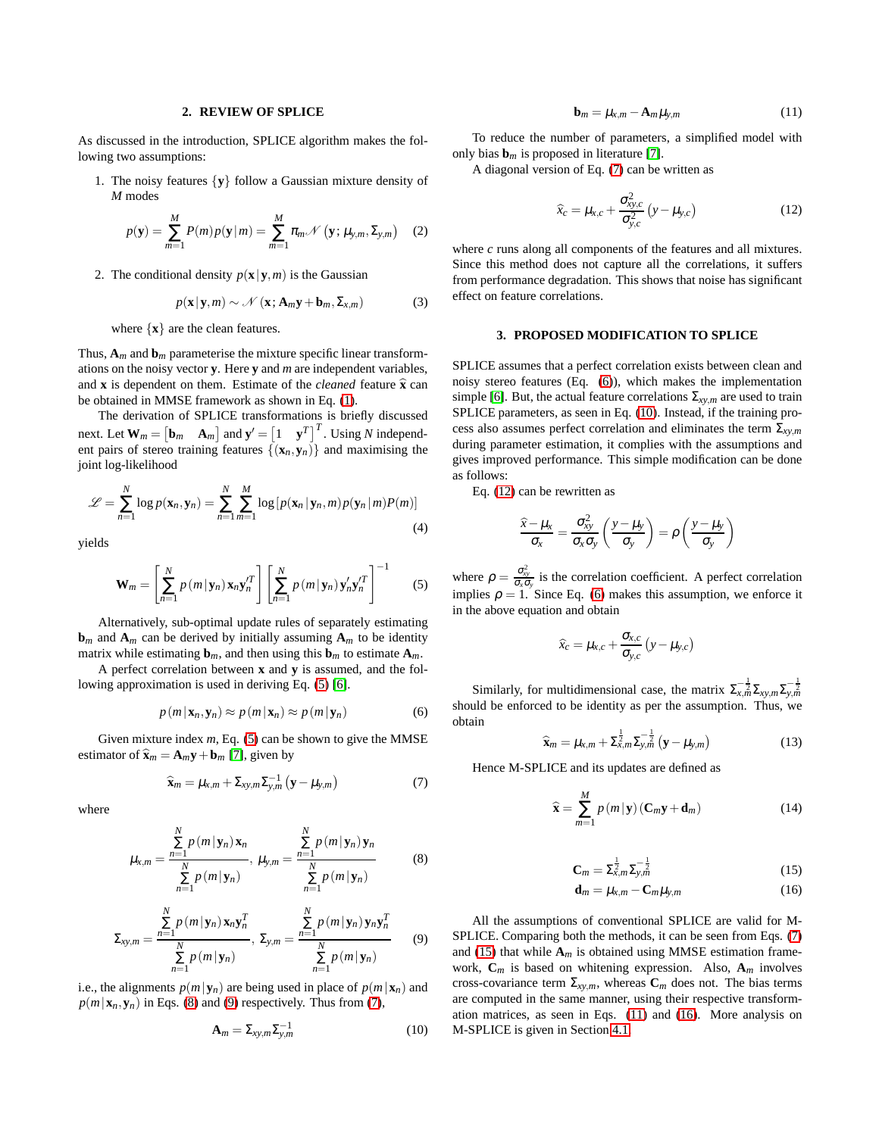# **2. REVIEW OF SPLICE**

<span id="page-1-0"></span>As discussed in the introduction, SPLICE algorithm makes the following two assumptions:

1. The noisy features {**y**} follow a Gaussian mixture density of *M* modes

$$
p(\mathbf{y}) = \sum_{m=1}^{M} P(m) p(\mathbf{y} | m) = \sum_{m=1}^{M} \pi_m \mathcal{N} (\mathbf{y}; \mu_{y,m}, \Sigma_{y,m})
$$
 (2)

2. The conditional density  $p(\mathbf{x}|\mathbf{y},m)$  is the Gaussian

$$
p(\mathbf{x}|\mathbf{y},m) \sim \mathcal{N}(\mathbf{x};\mathbf{A}_m\mathbf{y}+\mathbf{b}_m,\Sigma_{x,m})
$$
 (3)

where {**x**} are the clean features.

Thus,  $A_m$  and  $b_m$  parameterise the mixture specific linear transformations on the noisy vector **y**. Here **y** and *m* are independent variables, and **x** is dependent on them. Estimate of the *cleaned* feature  $\hat{\mathbf{x}}$  can be obtained in MMSE framework as shown in Eq. [\(1\)](#page-0-0).

The derivation of SPLICE transformations is briefly discussed next. Let  $\mathbf{W}_m = \begin{bmatrix} \mathbf{b}_m & \mathbf{A}_m \end{bmatrix}$  and  $\mathbf{y}' = \begin{bmatrix} 1 & \mathbf{y}^T \end{bmatrix}^T$ . Using *N* independent pairs of stereo training features  $\{(\mathbf{x}_n, \mathbf{y}_n)\}\$  and maximising the joint log-likelihood

$$
\mathcal{L} = \sum_{n=1}^{N} \log p(\mathbf{x}_n, \mathbf{y}_n) = \sum_{n=1}^{N} \sum_{m=1}^{M} \log \left[ p(\mathbf{x}_n | \mathbf{y}_n, m) p(\mathbf{y}_n | m) P(m) \right]
$$
\n(4)

yields

<span id="page-1-2"></span>
$$
\mathbf{W}_m = \left[ \sum_{n=1}^N p\left( m \, | \, \mathbf{y}_n \right) \mathbf{x}_n \mathbf{y}_n^{\prime T} \right] \left[ \sum_{n=1}^N p\left( m \, | \, \mathbf{y}_n \right) \mathbf{y}_n^{\prime} \mathbf{y}_n^{\prime T} \right]^{-1} \tag{5}
$$

Alternatively, sub-optimal update rules of separately estimating  **and**  $**A**<sub>m</sub>$  **can be derived by initially assuming**  $**A**<sub>m</sub>$  **to be identity** matrix while estimating  $\mathbf{b}_m$ , and then using this  $\mathbf{b}_m$  to estimate  $\mathbf{A}_m$ .

A perfect correlation between **x** and **y** is assumed, and the following approximation is used in deriving Eq. [\(5\)](#page-1-2) [\[6\]](#page-5-7).

<span id="page-1-6"></span>
$$
p(m|\mathbf{x}_n, \mathbf{y}_n) \approx p(m|\mathbf{x}_n) \approx p(m|\mathbf{y}_n)
$$
 (6)

Given mixture index *m*, Eq. [\(5\)](#page-1-2) can be shown to give the MMSE estimator of  $\hat{\mathbf{x}}_m = \mathbf{A}_m \mathbf{y} + \mathbf{b}_m$  [\[7\]](#page-5-8), given by

<span id="page-1-5"></span>
$$
\widehat{\mathbf{x}}_m = \mu_{x,m} + \Sigma_{xy,m} \Sigma_{y,m}^{-1} \left( \mathbf{y} - \mu_{y,m} \right)
$$
 (7)

where

<span id="page-1-3"></span>
$$
\mu_{x,m} = \frac{\sum\limits_{n=1}^{N} p(m|\mathbf{y}_n) \mathbf{x}_n}{\sum\limits_{n=1}^{N} p(m|\mathbf{y}_n)}, \quad \mu_{y,m} = \frac{\sum\limits_{n=1}^{N} p(m|\mathbf{y}_n) \mathbf{y}_n}{\sum\limits_{n=1}^{N} p(m|\mathbf{y}_n)}
$$
(8)

<span id="page-1-4"></span>
$$
\Sigma_{xy,m} = \frac{\sum\limits_{n=1}^{N} p(m|\mathbf{y}_n) \mathbf{x}_n \mathbf{y}_n^T}{\sum\limits_{n=1}^{N} p(m|\mathbf{y}_n)} , \ \Sigma_{y,m} = \frac{\sum\limits_{n=1}^{N} p(m|\mathbf{y}_n) \mathbf{y}_n \mathbf{y}_n^T}{\sum\limits_{n=1}^{N} p(m|\mathbf{y}_n)}
$$
(9)

i.e., the alignments  $p(m|\mathbf{y}_n)$  are being used in place of  $p(m|\mathbf{x}_n)$  and  $p(m|\mathbf{x}_n, \mathbf{y}_n)$  in Eqs. [\(8\)](#page-1-3) and [\(9\)](#page-1-4) respectively. Thus from [\(7\)](#page-1-5),

<span id="page-1-7"></span>
$$
\mathbf{A}_m = \Sigma_{xy,m} \Sigma_{y,m}^{-1} \tag{10}
$$

<span id="page-1-10"></span>
$$
\mathbf{b}_m = \mu_{x,m} - \mathbf{A}_m \mu_{y,m} \tag{11}
$$

To reduce the number of parameters, a simplified model with only bias  $\mathbf{b}_m$  is proposed in literature [\[7\]](#page-5-8).

A diagonal version of Eq. [\(7\)](#page-1-5) can be written as

<span id="page-1-8"></span>
$$
\widehat{x}_c = \mu_{x,c} + \frac{\sigma_{xy,c}^2}{\sigma_{y,c}^2} (y - \mu_{y,c})
$$
\n(12)

where *c* runs along all components of the features and all mixtures. Since this method does not capture all the correlations, it suffers from performance degradation. This shows that noise has significant effect on feature correlations.

### <span id="page-1-1"></span>**3. PROPOSED MODIFICATION TO SPLICE**

SPLICE assumes that a perfect correlation exists between clean and noisy stereo features (Eq. [\(6\)](#page-1-6)), which makes the implementation simple [\[6\]](#page-5-7). But, the actual feature correlations  $\Sigma_{xy,m}$  are used to train SPLICE parameters, as seen in Eq. [\(10\)](#page-1-7). Instead, if the training process also assumes perfect correlation and eliminates the term Σ*xy*,*<sup>m</sup>* during parameter estimation, it complies with the assumptions and gives improved performance. This simple modification can be done as follows:

Eq. [\(12\)](#page-1-8) can be rewritten as

$$
\frac{\widehat{x} - \mu_x}{\sigma_x} = \frac{\sigma_{xy}^2}{\sigma_x \sigma_y} \left( \frac{y - \mu_y}{\sigma_y} \right) = \rho \left( \frac{y - \mu_y}{\sigma_y} \right)
$$

where  $\rho = \frac{\sigma_{xy}^2}{\sigma_x \sigma_y}$  is the correlation coefficient. A perfect correlation implies  $\rho = 1$ . Since Eq. [\(6\)](#page-1-6) makes this assumption, we enforce it in the above equation and obtain

$$
\widehat{x}_c = \mu_{x,c} + \frac{\sigma_{x,c}}{\sigma_{y,c}} (y - \mu_{y,c})
$$

Similarly, for multidimensional case, the matrix  $\sum_{x,m}^{-\frac{1}{2}} \sum_{xy,m} \sum_{y,m}^{-\frac{1}{2}}$ should be enforced to be identity as per the assumption. Thus, we obtain

$$
\widehat{\mathbf{x}}_m = \mu_{x,m} + \Sigma_{x,m}^{\frac{1}{2}} \Sigma_{y,m}^{-\frac{1}{2}} \left( \mathbf{y} - \mu_{y,m} \right)
$$
(13)

Hence M-SPLICE and its updates are defined as

$$
\widehat{\mathbf{x}} = \sum_{m=1}^{M} p(m|\mathbf{y}) (\mathbf{C}_m \mathbf{y} + \mathbf{d}_m)
$$
 (14)

<span id="page-1-9"></span>
$$
C_m = \sum_{x,m}^{\frac{1}{2}} \sum_{y,m}^{-\frac{1}{2}} \tag{15}
$$

<span id="page-1-11"></span>
$$
\mathbf{d}_m = \mu_{x,m} - \mathbf{C}_m \mu_{y,m} \tag{16}
$$

All the assumptions of conventional SPLICE are valid for M-SPLICE. Comparing both the methods, it can be seen from Eqs. [\(7\)](#page-1-5) and [\(15\)](#page-1-9) that while  $A_m$  is obtained using MMSE estimation framework, **C***m* is based on whitening expression. Also, **A***m* involves cross-covariance term  $\Sigma_{xy,m}$ , whereas  $C_m$  does not. The bias terms are computed in the same manner, using their respective transformation matrices, as seen in Eqs. [\(11\)](#page-1-10) and [\(16\)](#page-1-11). More analysis on M-SPLICE is given in Section [4.1.](#page-2-1)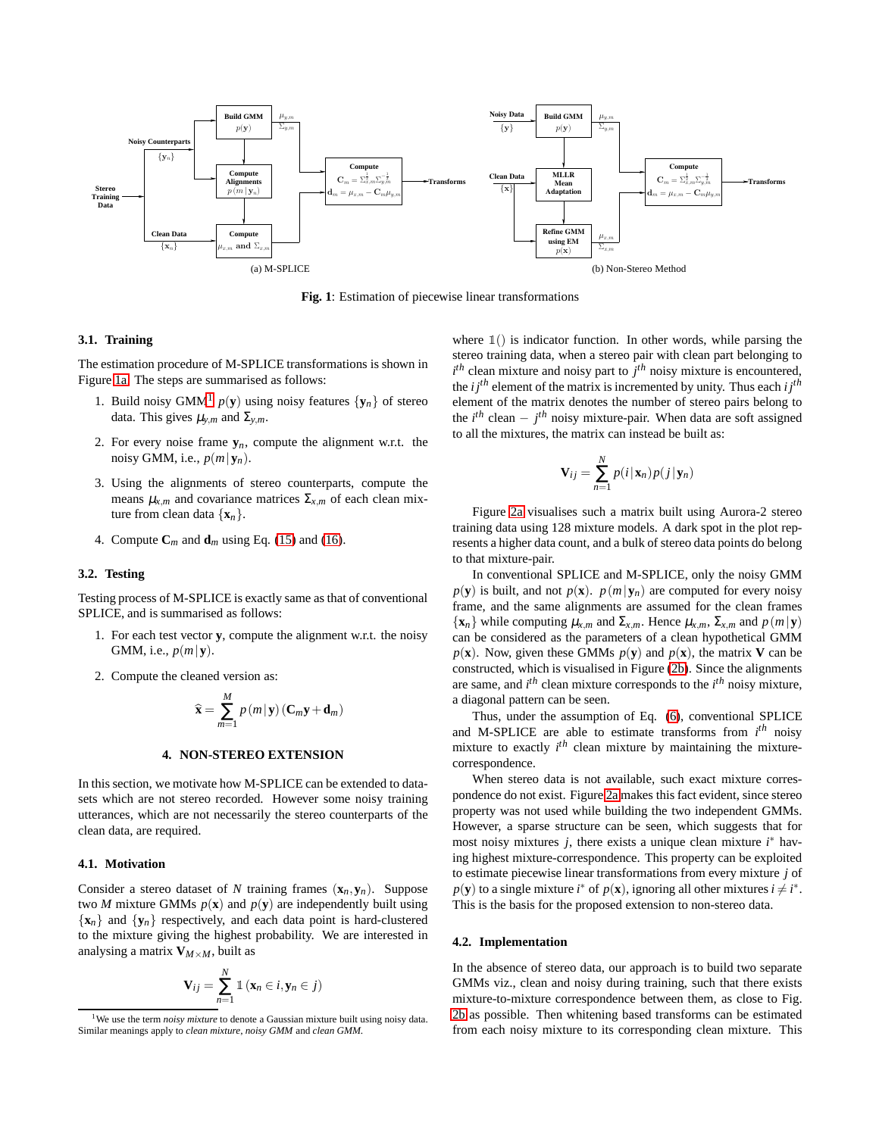<span id="page-2-2"></span>

**Fig. 1**: Estimation of piecewise linear transformations

### **3.1. Training**

The estimation procedure of M-SPLICE transformations is shown in Figure [1a.](#page-2-2) The steps are summarised as follows:

- [1](#page-2-3). Build noisy GMM<sup>1</sup>  $p(y)$  using noisy features  $\{y_n\}$  of stereo data. This gives  $\mu_{y,m}$  and  $\Sigma_{y,m}$ .
- 2. For every noise frame  $y_n$ , compute the alignment w.r.t. the noisy GMM, i.e.,  $p(m|\mathbf{y}_n)$ .
- 3. Using the alignments of stereo counterparts, compute the means  $\mu_{x,m}$  and covariance matrices  $\Sigma_{x,m}$  of each clean mixture from clean data  $\{x_n\}$ .
- 4. Compute  $C_m$  and  $d_m$  using Eq. [\(15\)](#page-1-9) and [\(16\)](#page-1-11).

### <span id="page-2-5"></span>**3.2. Testing**

Testing process of M-SPLICE is exactly same as that of conventional SPLICE, and is summarised as follows:

- 1. For each test vector **y**, compute the alignment w.r.t. the noisy GMM, i.e., *p*(*m*|**y**).
- 2. Compute the cleaned version as:

$$
\widehat{\mathbf{x}} = \sum_{m=1}^{M} p(m|\mathbf{y}) (\mathbf{C}_m \mathbf{y} + \mathbf{d}_m)
$$

### **4. NON-STEREO EXTENSION**

<span id="page-2-0"></span>In this section, we motivate how M-SPLICE can be extended to datasets which are not stereo recorded. However some noisy training utterances, which are not necessarily the stereo counterparts of the clean data, are required.

### <span id="page-2-1"></span>**4.1. Motivation**

Consider a stereo dataset of *N* training frames  $(\mathbf{x}_n, \mathbf{y}_n)$ . Suppose two *M* mixture GMMs  $p(x)$  and  $p(y)$  are independently built using  ${x_n}$  and  ${y_n}$  respectively, and each data point is hard-clustered to the mixture giving the highest probability. We are interested in analysing a matrix  $V_{M \times M}$ , built as

$$
\mathbf{V}_{ij} = \sum_{n=1}^{N} \mathbb{1} \left( \mathbf{x}_n \in i, \mathbf{y}_n \in j \right)
$$

<span id="page-2-4"></span>where  $\mathbb{1}(x)$  is indicator function. In other words, while parsing the stereo training data, when a stereo pair with clean part belonging to  $i<sup>th</sup>$  clean mixture and noisy part to  $j<sup>th</sup>$  noisy mixture is encountered, the  $i j<sup>th</sup>$  element of the matrix is incremented by unity. Thus each  $i j<sup>th</sup>$ element of the matrix denotes the number of stereo pairs belong to the  $i^{th}$  clean  $-i^{th}$  noisy mixture-pair. When data are soft assigned to all the mixtures, the matrix can instead be built as:

$$
\mathbf{V}_{ij} = \sum_{n=1}^{N} p(i|\mathbf{x}_n)p(j|\mathbf{y}_n)
$$

Figure [2a](#page-3-1) visualises such a matrix built using Aurora-2 stereo training data using 128 mixture models. A dark spot in the plot represents a higher data count, and a bulk of stereo data points do belong to that mixture-pair.

In conventional SPLICE and M-SPLICE, only the noisy GMM  $p(\mathbf{y})$  is built, and not  $p(\mathbf{x})$ .  $p(m|\mathbf{y}_n)$  are computed for every noisy frame, and the same alignments are assumed for the clean frames  $\{ {\bf x}_n \}$  while computing  $\mu_{x,m}$  and  $\Sigma_{x,m}$ . Hence  $\mu_{x,m}$ ,  $\Sigma_{x,m}$  and  $p(m|{\bf y})$ can be considered as the parameters of a clean hypothetical GMM  $p(\mathbf{x})$ . Now, given these GMMs  $p(\mathbf{y})$  and  $p(\mathbf{x})$ , the matrix **V** can be constructed, which is visualised in Figure [\(2b\)](#page-3-2). Since the alignments are same, and *i th* clean mixture corresponds to the *i th* noisy mixture, a diagonal pattern can be seen.

Thus, under the assumption of Eq. [\(6\)](#page-1-6), conventional SPLICE and M-SPLICE are able to estimate transforms from *i th* noisy mixture to exactly *i th* clean mixture by maintaining the mixturecorrespondence.

When stereo data is not available, such exact mixture correspondence do not exist. Figure [2a](#page-3-1) makes this fact evident, since stereo property was not used while building the two independent GMMs. However, a sparse structure can be seen, which suggests that for most noisy mixtures *j*, there exists a unique clean mixture *i* <sup>∗</sup> having highest mixture-correspondence. This property can be exploited to estimate piecewise linear transformations from every mixture *j* of  $p(\mathbf{y})$  to a single mixture *i*<sup>\*</sup> of  $p(\mathbf{x})$ , ignoring all other mixtures  $i \neq i^*$ . This is the basis for the proposed extension to non-stereo data.

### **4.2. Implementation**

In the absence of stereo data, our approach is to build two separate GMMs viz., clean and noisy during training, such that there exists mixture-to-mixture correspondence between them, as close to Fig. [2b](#page-3-2) as possible. Then whitening based transforms can be estimated from each noisy mixture to its corresponding clean mixture. This

<span id="page-2-3"></span><sup>&</sup>lt;sup>1</sup>We use the term *noisy mixture* to denote a Gaussian mixture built using noisy data. Similar meanings apply to *clean mixture*, *noisy GMM* and *clean GMM*.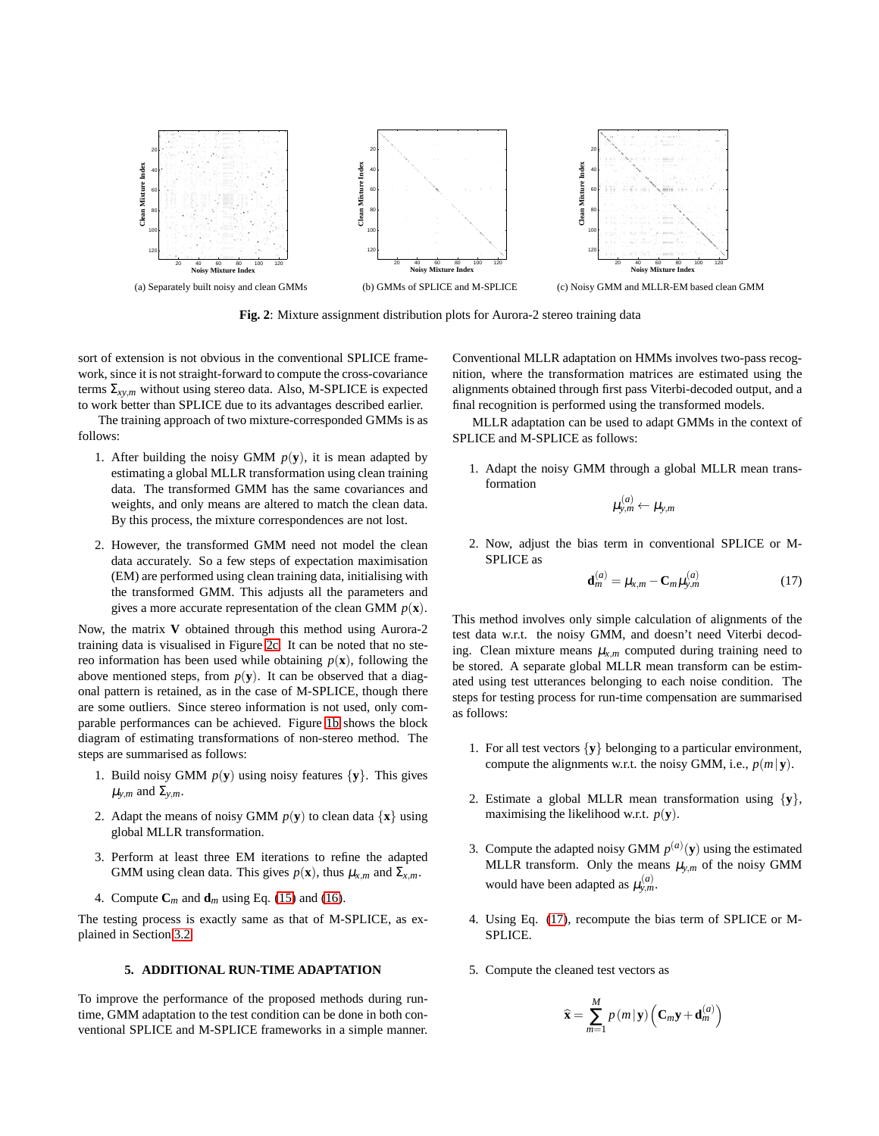

<span id="page-3-2"></span>**Fig. 2**: Mixture assignment distribution plots for Aurora-2 stereo training data

<span id="page-3-1"></span>sort of extension is not obvious in the conventional SPLICE framework, since it is not straight-forward to compute the cross-covariance terms  $\Sigma_{xy,m}$  without using stereo data. Also, M-SPLICE is expected to work better than SPLICE due to its advantages described earlier.

The training approach of two mixture-corresponded GMMs is as follows:

- 1. After building the noisy GMM  $p(y)$ , it is mean adapted by estimating a global MLLR transformation using clean training data. The transformed GMM has the same covariances and weights, and only means are altered to match the clean data. By this process, the mixture correspondences are not lost.
- 2. However, the transformed GMM need not model the clean data accurately. So a few steps of expectation maximisation (EM) are performed using clean training data, initialising with the transformed GMM. This adjusts all the parameters and gives a more accurate representation of the clean GMM *p*(**x**).

Now, the matrix **V** obtained through this method using Aurora-2 training data is visualised in Figure [2c.](#page-3-3) It can be noted that no stereo information has been used while obtaining  $p(\mathbf{x})$ , following the above mentioned steps, from  $p(y)$ . It can be observed that a diagonal pattern is retained, as in the case of M-SPLICE, though there are some outliers. Since stereo information is not used, only comparable performances can be achieved. Figure [1b](#page-2-4) shows the block diagram of estimating transformations of non-stereo method. The steps are summarised as follows:

- 1. Build noisy GMM  $p(y)$  using noisy features  $\{y\}$ . This gives  $\mu_{v,m}$  and  $\Sigma_{v,m}$ .
- 2. Adapt the means of noisy GMM  $p(y)$  to clean data  $\{x\}$  using global MLLR transformation.
- 3. Perform at least three EM iterations to refine the adapted GMM using clean data. This gives  $p(\mathbf{x})$ , thus  $\mu_{x,m}$  and  $\Sigma_{x,m}$ .
- 4. Compute  $C_m$  and  $d_m$  using Eq. [\(15\)](#page-1-9) and [\(16\)](#page-1-11).

<span id="page-3-0"></span>The testing process is exactly same as that of M-SPLICE, as explained in Section [3.2.](#page-2-5)

# **5. ADDITIONAL RUN-TIME ADAPTATION**

To improve the performance of the proposed methods during runtime, GMM adaptation to the test condition can be done in both conventional SPLICE and M-SPLICE frameworks in a simple manner. <span id="page-3-3"></span>Conventional MLLR adaptation on HMMs involves two-pass recognition, where the transformation matrices are estimated using the alignments obtained through first pass Viterbi-decoded output, and a final recognition is performed using the transformed models.

MLLR adaptation can be used to adapt GMMs in the context of SPLICE and M-SPLICE as follows:

1. Adapt the noisy GMM through a global MLLR mean transformation

$$
\mu_{y,m}^{(a)} \leftarrow \mu_{y,m}
$$

2. Now, adjust the bias term in conventional SPLICE or M-SPLICE as

<span id="page-3-4"></span>
$$
\mathbf{d}_m^{(a)} = \mu_{x,m} - \mathbf{C}_m \mu_{y,m}^{(a)}
$$
(17)

This method involves only simple calculation of alignments of the test data w.r.t. the noisy GMM, and doesn't need Viterbi decoding. Clean mixture means  $\mu_{x,m}$  computed during training need to be stored. A separate global MLLR mean transform can be estimated using test utterances belonging to each noise condition. The steps for testing process for run-time compensation are summarised as follows:

- 1. For all test vectors {**y**} belonging to a particular environment, compute the alignments w.r.t. the noisy GMM, i.e.,  $p(m|\mathbf{y})$ .
- 2. Estimate a global MLLR mean transformation using {**y**}, maximising the likelihood w.r.t.  $p(\mathbf{y})$ .
- 3. Compute the adapted noisy GMM  $p^{(a)}(y)$  using the estimated MLLR transform. Only the means  $\mu_{y,m}$  of the noisy GMM would have been adapted as  $\mu_{y,m}^{(a)}$ .
- 4. Using Eq. [\(17\)](#page-3-4), recompute the bias term of SPLICE or M-SPLICE.
- 5. Compute the cleaned test vectors as

$$
\widehat{\mathbf{x}} = \sum_{m=1}^{M} p(m|\mathbf{y}) \left( \mathbf{C}_m \mathbf{y} + \mathbf{d}_m^{(a)} \right)
$$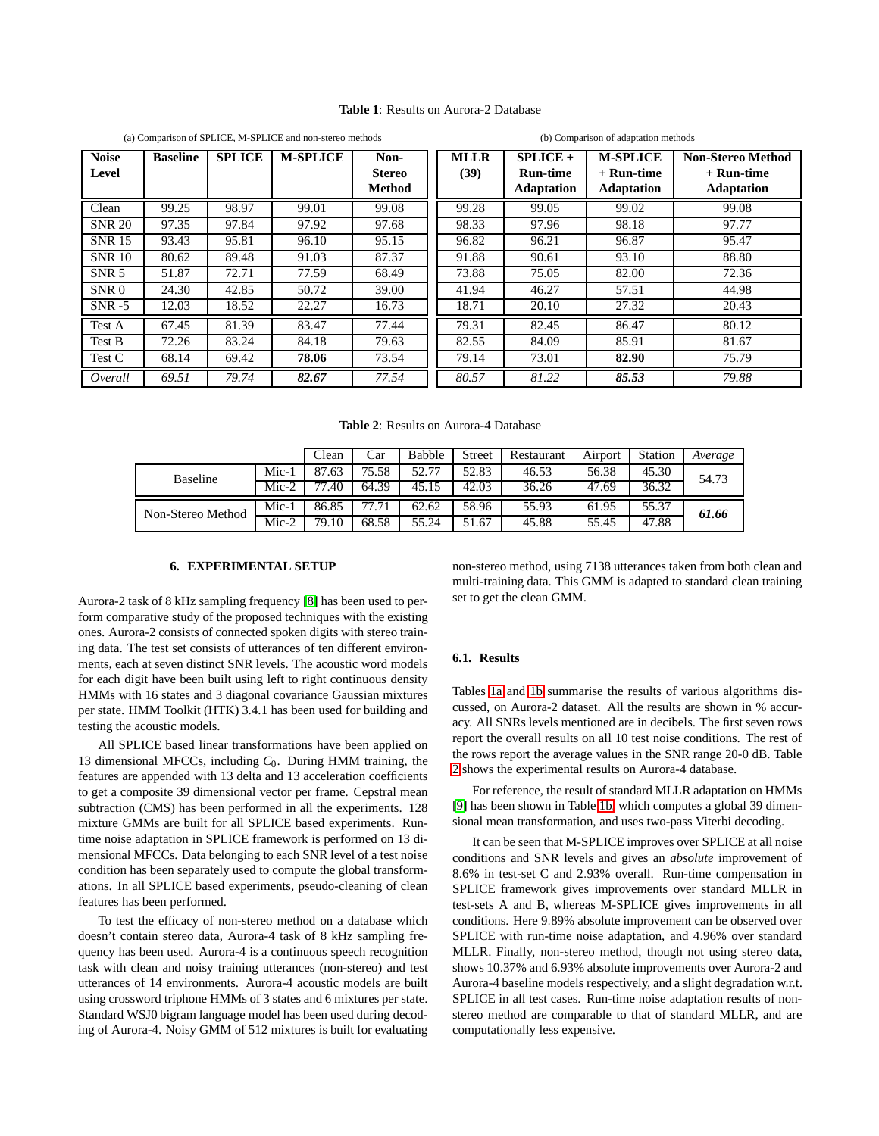# <span id="page-4-2"></span>**Table 1**: Results on Aurora-2 Database

<span id="page-4-1"></span>

|                       |                 |               | (a) Comparison of SPLICE, M-SPLICE and non-stereo methods |                                        | (b) Comparison of adaptation methods |                                                    |                                                    |                                                               |  |  |
|-----------------------|-----------------|---------------|-----------------------------------------------------------|----------------------------------------|--------------------------------------|----------------------------------------------------|----------------------------------------------------|---------------------------------------------------------------|--|--|
| <b>Noise</b><br>Level | <b>Baseline</b> | <b>SPLICE</b> | <b>M-SPLICE</b>                                           | Non-<br><b>Stereo</b><br><b>Method</b> | <b>MLLR</b><br>(39)                  | $SPLICE +$<br><b>Run-time</b><br><b>Adaptation</b> | <b>M-SPLICE</b><br>+ Run-time<br><b>Adaptation</b> | <b>Non-Stereo Method</b><br>$+$ Run-time<br><b>Adaptation</b> |  |  |
| Clean                 | 99.25           | 98.97         | 99.01                                                     | 99.08                                  | 99.28                                | 99.05                                              | 99.02                                              | 99.08                                                         |  |  |
| <b>SNR 20</b>         | 97.35           | 97.84         | 97.92                                                     | 97.68                                  | 98.33                                | 97.96                                              | 98.18                                              | 97.77                                                         |  |  |
| <b>SNR 15</b>         | 93.43           | 95.81         | 96.10                                                     | 95.15                                  | 96.82                                | 96.21                                              | 96.87                                              | 95.47                                                         |  |  |
| <b>SNR 10</b>         | 80.62           | 89.48         | 91.03                                                     | 87.37                                  | 91.88                                | 90.61                                              | 93.10                                              | 88.80                                                         |  |  |
| SNR 5                 | 51.87           | 72.71         | 77.59                                                     | 68.49                                  | 73.88                                | 75.05                                              | 82.00                                              | 72.36                                                         |  |  |
| SNR 0                 | 24.30           | 42.85         | 50.72                                                     | 39.00                                  | 41.94                                | 46.27                                              | 57.51                                              | 44.98                                                         |  |  |
| $SNR - 5$             | 12.03           | 18.52         | 22.27                                                     | 16.73                                  | 18.71                                | 20.10                                              | 27.32                                              | 20.43                                                         |  |  |
| Test A                | 67.45           | 81.39         | 83.47                                                     | 77.44                                  | 79.31                                | 82.45                                              | 86.47                                              | 80.12                                                         |  |  |
| Test B                | 72.26           | 83.24         | 84.18                                                     | 79.63                                  | 82.55                                | 84.09                                              | 85.91                                              | 81.67                                                         |  |  |
| Test C                | 68.14           | 69.42         | 78.06                                                     | 73.54                                  | 79.14                                | 73.01                                              | 82.90                                              | 75.79                                                         |  |  |
| Overall               | 69.51           | 79.74         | 82.67                                                     | 77.54                                  | 80.57                                | 81.22                                              | 85.53                                              | 79.88                                                         |  |  |

**Table 2**: Results on Aurora-4 Database

<span id="page-4-3"></span>

|                   |         | Clean     | Car        | Babble | Street | Restaurant | Airport | <b>Station</b> | Average |
|-------------------|---------|-----------|------------|--------|--------|------------|---------|----------------|---------|
| <b>Baseline</b>   | Mic-1   | 87.63     | 75.58      | 52.77  | 52.83  | 46.53      | 56.38   | 45.30          | 54.73   |
|                   | $Mic-2$ | .40<br>77 | 64.39      | 45.15  | 42.03  | 36.26      | 47.69   | 36.32          |         |
| Non-Stereo Method | Mic-1   | 86.85     | '.71<br>77 | 62.62  | 58.96  | 55.93      | 61.95   | 55.37          | 61.66   |
|                   | $Mic-2$ | 79.10     | 68.58      | 55.24  | 51.67  | 45.88      | 55.45   | 47.88          |         |

# **6. EXPERIMENTAL SETUP**

<span id="page-4-0"></span>Aurora-2 task of 8 kHz sampling frequency [\[8\]](#page-5-9) has been used to perform comparative study of the proposed techniques with the existing ones. Aurora-2 consists of connected spoken digits with stereo training data. The test set consists of utterances of ten different environments, each at seven distinct SNR levels. The acoustic word models for each digit have been built using left to right continuous density HMMs with 16 states and 3 diagonal covariance Gaussian mixtures per state. HMM Toolkit (HTK) 3.4.1 has been used for building and testing the acoustic models.

All SPLICE based linear transformations have been applied on 13 dimensional MFCCs, including *C*0. During HMM training, the features are appended with 13 delta and 13 acceleration coefficients to get a composite 39 dimensional vector per frame. Cepstral mean subtraction (CMS) has been performed in all the experiments. 128 mixture GMMs are built for all SPLICE based experiments. Runtime noise adaptation in SPLICE framework is performed on 13 dimensional MFCCs. Data belonging to each SNR level of a test noise condition has been separately used to compute the global transformations. In all SPLICE based experiments, pseudo-cleaning of clean features has been performed.

To test the efficacy of non-stereo method on a database which doesn't contain stereo data, Aurora-4 task of 8 kHz sampling frequency has been used. Aurora-4 is a continuous speech recognition task with clean and noisy training utterances (non-stereo) and test utterances of 14 environments. Aurora-4 acoustic models are built using crossword triphone HMMs of 3 states and 6 mixtures per state. Standard WSJ0 bigram language model has been used during decoding of Aurora-4. Noisy GMM of 512 mixtures is built for evaluating

non-stereo method, using 7138 utterances taken from both clean and multi-training data. This GMM is adapted to standard clean training set to get the clean GMM.

# **6.1. Results**

Tables [1a](#page-4-1) and [1b](#page-4-2) summarise the results of various algorithms discussed, on Aurora-2 dataset. All the results are shown in % accuracy. All SNRs levels mentioned are in decibels. The first seven rows report the overall results on all 10 test noise conditions. The rest of the rows report the average values in the SNR range 20-0 dB. Table [2](#page-4-3) shows the experimental results on Aurora-4 database.

For reference, the result of standard MLLR adaptation on HMMs [\[9\]](#page-5-10) has been shown in Table [1b,](#page-4-2) which computes a global 39 dimensional mean transformation, and uses two-pass Viterbi decoding.

It can be seen that M-SPLICE improves over SPLICE at all noise conditions and SNR levels and gives an *absolute* improvement of 8.6% in test-set C and 2.93% overall. Run-time compensation in SPLICE framework gives improvements over standard MLLR in test-sets A and B, whereas M-SPLICE gives improvements in all conditions. Here 9.89% absolute improvement can be observed over SPLICE with run-time noise adaptation, and 4.96% over standard MLLR. Finally, non-stereo method, though not using stereo data, shows 10.37% and 6.93% absolute improvements over Aurora-2 and Aurora-4 baseline models respectively, and a slight degradation w.r.t. SPLICE in all test cases. Run-time noise adaptation results of nonstereo method are comparable to that of standard MLLR, and are computationally less expensive.